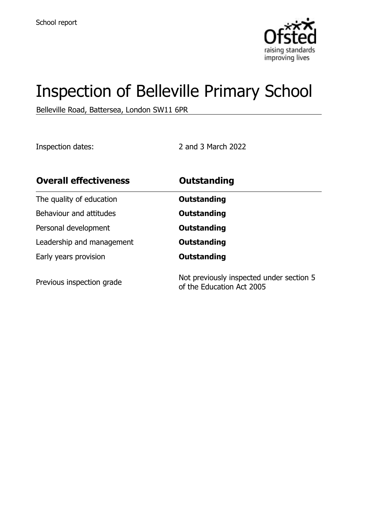

# Inspection of Belleville Primary School

Belleville Road, Battersea, London SW11 6PR

Inspection dates: 2 and 3 March 2022

| <b>Overall effectiveness</b> | <b>Outstanding</b>                                                    |  |
|------------------------------|-----------------------------------------------------------------------|--|
| The quality of education     | Outstanding                                                           |  |
| Behaviour and attitudes      | Outstanding                                                           |  |
| Personal development         | Outstanding                                                           |  |
| Leadership and management    | Outstanding                                                           |  |
| Early years provision        | Outstanding                                                           |  |
| Previous inspection grade    | Not previously inspected under section 5<br>of the Education Act 2005 |  |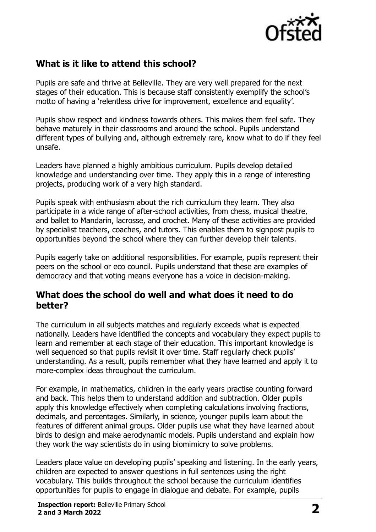

## **What is it like to attend this school?**

Pupils are safe and thrive at Belleville. They are very well prepared for the next stages of their education. This is because staff consistently exemplify the school's motto of having a 'relentless drive for improvement, excellence and equality'.

Pupils show respect and kindness towards others. This makes them feel safe. They behave maturely in their classrooms and around the school. Pupils understand different types of bullying and, although extremely rare, know what to do if they feel unsafe.

Leaders have planned a highly ambitious curriculum. Pupils develop detailed knowledge and understanding over time. They apply this in a range of interesting projects, producing work of a very high standard.

Pupils speak with enthusiasm about the rich curriculum they learn. They also participate in a wide range of after-school activities, from chess, musical theatre, and ballet to Mandarin, lacrosse, and crochet. Many of these activities are provided by specialist teachers, coaches, and tutors. This enables them to signpost pupils to opportunities beyond the school where they can further develop their talents.

Pupils eagerly take on additional responsibilities. For example, pupils represent their peers on the school or eco council. Pupils understand that these are examples of democracy and that voting means everyone has a voice in decision-making.

#### **What does the school do well and what does it need to do better?**

The curriculum in all subjects matches and regularly exceeds what is expected nationally. Leaders have identified the concepts and vocabulary they expect pupils to learn and remember at each stage of their education. This important knowledge is well sequenced so that pupils revisit it over time. Staff regularly check pupils' understanding. As a result, pupils remember what they have learned and apply it to more-complex ideas throughout the curriculum.

For example, in mathematics, children in the early years practise counting forward and back. This helps them to understand addition and subtraction. Older pupils apply this knowledge effectively when completing calculations involving fractions, decimals, and percentages. Similarly, in science, younger pupils learn about the features of different animal groups. Older pupils use what they have learned about birds to design and make aerodynamic models. Pupils understand and explain how they work the way scientists do in using biomimicry to solve problems.

Leaders place value on developing pupils' speaking and listening. In the early years, children are expected to answer questions in full sentences using the right vocabulary. This builds throughout the school because the curriculum identifies opportunities for pupils to engage in dialogue and debate. For example, pupils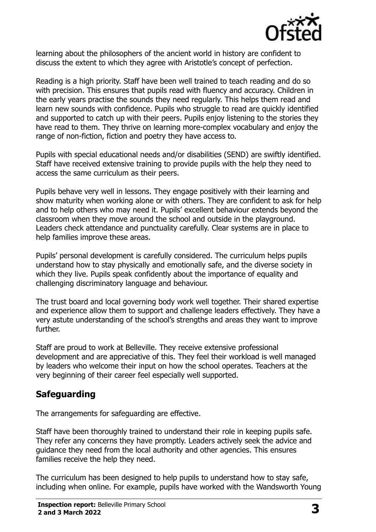

learning about the philosophers of the ancient world in history are confident to discuss the extent to which they agree with Aristotle's concept of perfection.

Reading is a high priority. Staff have been well trained to teach reading and do so with precision. This ensures that pupils read with fluency and accuracy. Children in the early years practise the sounds they need regularly. This helps them read and learn new sounds with confidence. Pupils who struggle to read are quickly identified and supported to catch up with their peers. Pupils enjoy listening to the stories they have read to them. They thrive on learning more-complex vocabulary and enjoy the range of non-fiction, fiction and poetry they have access to.

Pupils with special educational needs and/or disabilities (SEND) are swiftly identified. Staff have received extensive training to provide pupils with the help they need to access the same curriculum as their peers.

Pupils behave very well in lessons. They engage positively with their learning and show maturity when working alone or with others. They are confident to ask for help and to help others who may need it. Pupils' excellent behaviour extends beyond the classroom when they move around the school and outside in the playground. Leaders check attendance and punctuality carefully. Clear systems are in place to help families improve these areas.

Pupils' personal development is carefully considered. The curriculum helps pupils understand how to stay physically and emotionally safe, and the diverse society in which they live. Pupils speak confidently about the importance of equality and challenging discriminatory language and behaviour.

The trust board and local governing body work well together. Their shared expertise and experience allow them to support and challenge leaders effectively. They have a very astute understanding of the school's strengths and areas they want to improve further.

Staff are proud to work at Belleville. They receive extensive professional development and are appreciative of this. They feel their workload is well managed by leaders who welcome their input on how the school operates. Teachers at the very beginning of their career feel especially well supported.

# **Safeguarding**

The arrangements for safeguarding are effective.

Staff have been thoroughly trained to understand their role in keeping pupils safe. They refer any concerns they have promptly. Leaders actively seek the advice and guidance they need from the local authority and other agencies. This ensures families receive the help they need.

The curriculum has been designed to help pupils to understand how to stay safe, including when online. For example, pupils have worked with the Wandsworth Young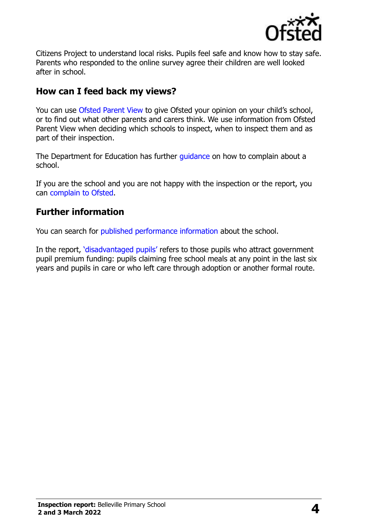

Citizens Project to understand local risks. Pupils feel safe and know how to stay safe. Parents who responded to the online survey agree their children are well looked after in school.

## **How can I feed back my views?**

You can use Ofsted Parent View to give Ofsted your opinion on your child's school, or to find out what other parents and carers think. We use information from Ofsted Parent View when deciding which schools to inspect, when to inspect them and as part of their inspection.

The Department for Education has further quidance on how to complain about a school.

If you are the school and you are not happy with the inspection or the report, you can complain to Ofsted.

## **Further information**

You can search for published performance information about the school.

In the report, 'disadvantaged pupils' refers to those pupils who attract government pupil premium funding: pupils claiming free school meals at any point in the last six years and pupils in care or who left care through adoption or another formal route.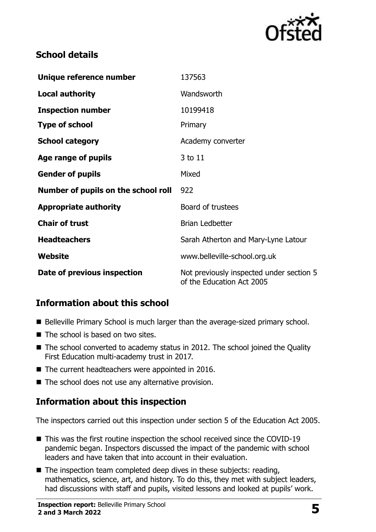

## **School details**

| Unique reference number             | 137563                                                                |
|-------------------------------------|-----------------------------------------------------------------------|
| <b>Local authority</b>              | Wandsworth                                                            |
| <b>Inspection number</b>            | 10199418                                                              |
| <b>Type of school</b>               | Primary                                                               |
| <b>School category</b>              | Academy converter                                                     |
| Age range of pupils                 | 3 to 11                                                               |
| <b>Gender of pupils</b>             | Mixed                                                                 |
| Number of pupils on the school roll | 922                                                                   |
| <b>Appropriate authority</b>        | Board of trustees                                                     |
| <b>Chair of trust</b>               | <b>Brian Ledbetter</b>                                                |
| <b>Headteachers</b>                 | Sarah Atherton and Mary-Lyne Latour                                   |
| Website                             | www.belleville-school.org.uk                                          |
| Date of previous inspection         | Not previously inspected under section 5<br>of the Education Act 2005 |

## **Information about this school**

- Belleville Primary School is much larger than the average-sized primary school.
- The school is based on two sites.
- The school converted to academy status in 2012. The school joined the Quality First Education multi-academy trust in 2017.
- The current headteachers were appointed in 2016.
- The school does not use any alternative provision.

#### **Information about this inspection**

The inspectors carried out this inspection under section 5 of the Education Act 2005.

- This was the first routine inspection the school received since the COVID-19 pandemic began. Inspectors discussed the impact of the pandemic with school leaders and have taken that into account in their evaluation.
- The inspection team completed deep dives in these subjects: reading, mathematics, science, art, and history. To do this, they met with subject leaders, had discussions with staff and pupils, visited lessons and looked at pupils' work.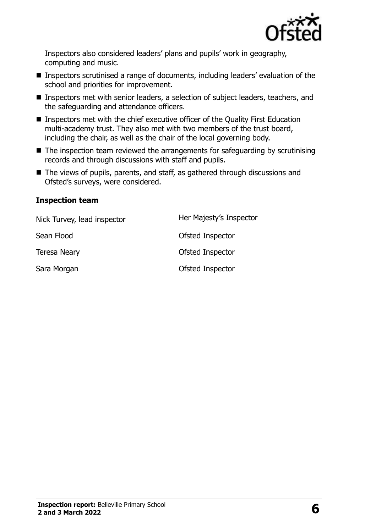

Inspectors also considered leaders' plans and pupils' work in geography, computing and music.

- Inspectors scrutinised a range of documents, including leaders' evaluation of the school and priorities for improvement.
- Inspectors met with senior leaders, a selection of subject leaders, teachers, and the safeguarding and attendance officers.
- Inspectors met with the chief executive officer of the Quality First Education multi-academy trust. They also met with two members of the trust board, including the chair, as well as the chair of the local governing body.
- The inspection team reviewed the arrangements for safeguarding by scrutinising records and through discussions with staff and pupils.
- The views of pupils, parents, and staff, as gathered through discussions and Ofsted's surveys, were considered.

#### **Inspection team**

| Nick Turvey, lead inspector | Her Majesty's Inspector |
|-----------------------------|-------------------------|
| Sean Flood                  | <b>Ofsted Inspector</b> |
| <b>Teresa Neary</b>         | Ofsted Inspector        |
| Sara Morgan                 | Ofsted Inspector        |